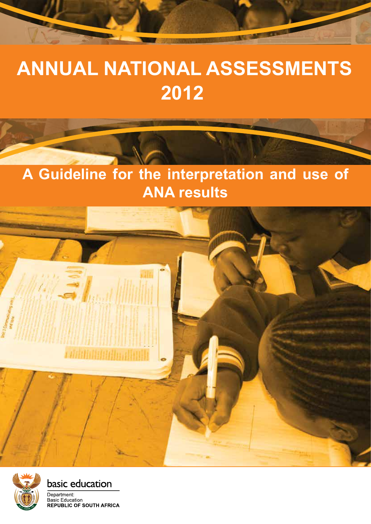# **ANNUAL NATIONAL ASSESSMENTS 2012**

## **A Guideline for the interpretation and use of ANA results**





basic education

Department: Basic Education **REPUBLIC OF SOUTH AFRICA**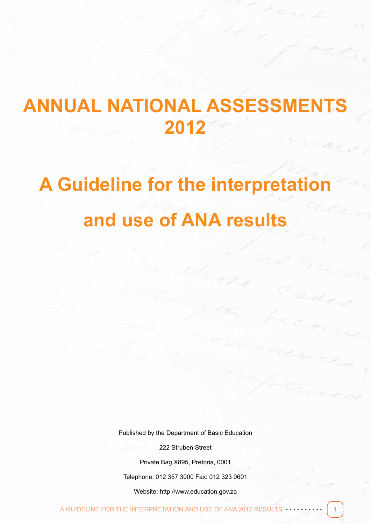# **ANNUAL NATIONAL ASSESSMENTS 2012**

# **A Guideline for the interpretation and use of ANA results**

Published by the Department of Basic Education

222 Struben Street

Private Bag X895, Pretoria, 0001

Telephone: 012 357 3000 Fax: 012 323 0601

Website: http://www.education.gov.za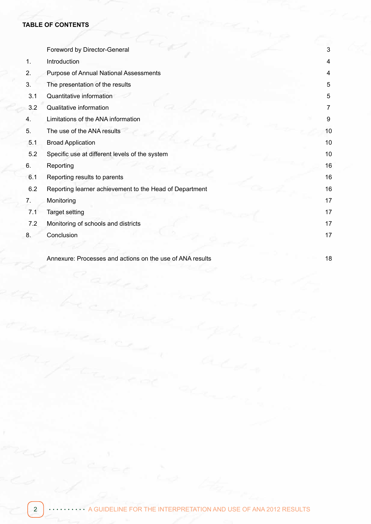#### **TABLE OF CONTENTS**

|     | Foreword by Director-General                              | 3  |
|-----|-----------------------------------------------------------|----|
| 1.  | Introduction                                              | 4  |
| 2.  | Purpose of Annual National Assessments                    | 4  |
| 3.  | The presentation of the results                           | 5  |
| 3.1 | Quantitative information                                  | 5  |
| 3.2 | Qualitative information                                   | 7  |
| 4.  | Limitations of the ANA information                        | 9  |
| 5.  | The use of the ANA results                                | 10 |
| 5.1 | <b>Broad Application</b>                                  | 10 |
| 5.2 | Specific use at different levels of the system            | 10 |
| 6.  | Reporting                                                 | 16 |
| 6.1 | Reporting results to parents                              | 16 |
| 6.2 | Reporting learner achievement to the Head of Department   | 16 |
| 7.  | Monitoring                                                | 17 |
| 7.1 | <b>Target setting</b>                                     | 17 |
| 7.2 | Monitoring of schools and districts                       | 17 |
| 8.  | Conclusion                                                | 17 |
|     | Annexure: Processes and actions on the use of ANA results | 18 |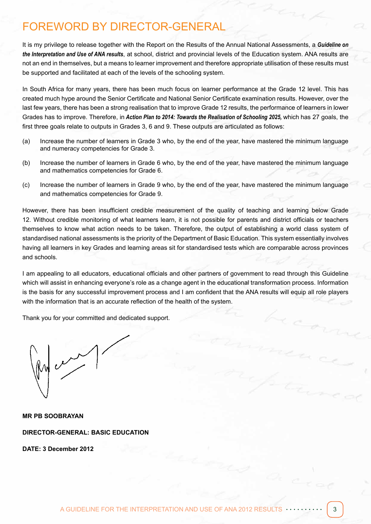## FOREWORD BY DIRECTOR-GENERAL

It is my privilege to release together with the Report on the Results of the Annual National Assessments, a *Guideline on the Interpretation and Use of ANA results*, at school, district and provincial levels of the Education system. ANA results are not an end in themselves, but a means to learner improvement and therefore appropriate utilisation of these results must be supported and facilitated at each of the levels of the schooling system.

In South Africa for many years, there has been much focus on learner performance at the Grade 12 level. This has created much hype around the Senior Certificate and National Senior Certificate examination results. However, over the last few years, there has been a strong realisation that to improve Grade 12 results, the performance of learners in lower Grades has to improve. Therefore, in *Action Plan to 2014: Towards the Realisation of Schooling 2025,* which has 27 goals, the first three goals relate to outputs in Grades 3, 6 and 9. These outputs are articulated as follows:

- (a) Increase the number of learners in Grade 3 who, by the end of the year, have mastered the minimum language and numeracy competencies for Grade 3.
- (b) Increase the number of learners in Grade 6 who, by the end of the year, have mastered the minimum language and mathematics competencies for Grade 6.
- (c) Increase the number of learners in Grade 9 who, by the end of the year, have mastered the minimum language and mathematics competencies for Grade 9.

However, there has been insufficient credible measurement of the quality of teaching and learning below Grade 12. Without credible monitoring of what learners learn, it is not possible for parents and district officials or teachers themselves to know what action needs to be taken. Therefore, the output of establishing a world class system of standardised national assessments is the priority of the Department of Basic Education. This system essentially involves having all learners in key Grades and learning areas sit for standardised tests which are comparable across provinces and schools.

I am appealing to all educators, educational officials and other partners of government to read through this Guideline which will assist in enhancing everyone's role as a change agent in the educational transformation process. Information is the basis for any successful improvement process and I am confident that the ANA results will equip all role players with the information that is an accurate reflection of the health of the system.

Thank you for your committed and dedicated support.

 $\mathcal{U}$ 

**MR PB SOOBRAYAN DIRECTOR-GENERAL: BASIC EDUCATION**

**DATE: 3 December 2012**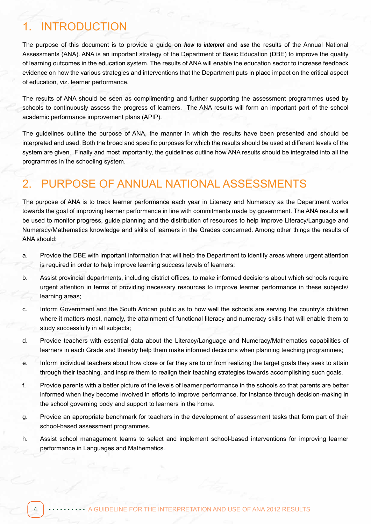## **INTRODUCTION**

The purpose of this document is to provide a guide on *how to interpret* and *use* the results of the Annual National Assessments (ANA). ANA is an important strategy of the Department of Basic Education (DBE) to improve the quality of learning outcomes in the education system. The results of ANA will enable the education sector to increase feedback evidence on how the various strategies and interventions that the Department puts in place impact on the critical aspect of education, viz. learner performance.

The results of ANA should be seen as complimenting and further supporting the assessment programmes used by schools to continuously assess the progress of learners. The ANA results will form an important part of the school academic performance improvement plans (APIP).

The guidelines outline the purpose of ANA, the manner in which the results have been presented and should be interpreted and used. Both the broad and specific purposes for which the results should be used at different levels of the system are given. Finally and most importantly, the guidelines outline how ANA results should be integrated into all the programmes in the schooling system.

## 2. PURPOSE OF ANNUAL NATIONAL ASSESSMENTS

The purpose of ANA is to track learner performance each year in Literacy and Numeracy as the Department works towards the goal of improving learner performance in line with commitments made by government. The ANA results will be used to monitor progress, guide planning and the distribution of resources to help improve Literacy/Language and Numeracy/Mathematics knowledge and skills of learners in the Grades concerned. Among other things the results of ANA should:

- a. Provide the DBE with important information that will help the Department to identify areas where urgent attention is required in order to help improve learning success levels of learners;
- b. Assist provincial departments, including district offices, to make informed decisions about which schools require urgent attention in terms of providing necessary resources to improve learner performance in these subjects/ learning areas;
- c. Inform Government and the South African public as to how well the schools are serving the country's children where it matters most, namely, the attainment of functional literacy and numeracy skills that will enable them to study successfully in all subjects;
- d. Provide teachers with essential data about the Literacy/Language and Numeracy/Mathematics capabilities of learners in each Grade and thereby help them make informed decisions when planning teaching programmes;
- e. Inform individual teachers about how close or far they are to or from realizing the target goals they seek to attain through their teaching, and inspire them to realign their teaching strategies towards accomplishing such goals.
- f. Provide parents with a better picture of the levels of learner performance in the schools so that parents are better informed when they become involved in efforts to improve performance, for instance through decision-making in the school governing body and support to learners in the home.
- g. Provide an appropriate benchmark for teachers in the development of assessment tasks that form part of their school-based assessment programmes.
- h. Assist school management teams to select and implement school-based interventions for improving learner performance in Languages and Mathematics.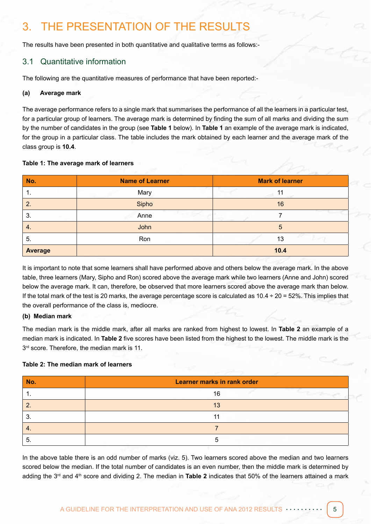## 3. THE PRESENTATION OF THE RESULTS

The results have been presented in both quantitative and qualitative terms as follows:-

#### 3.1 Quantitative information

The following are the quantitative measures of performance that have been reported:-

#### **(a) Average mark**

The average performance refers to a single mark that summarises the performance of all the learners in a particular test, for a particular group of learners. The average mark is determined by finding the sum of all marks and dividing the sum by the number of candidates in the group (see **Table 1** below). In **Table 1** an example of the average mark is indicated, for the group in a particular class. The table includes the mark obtained by each learner and the average mark of the class group is **10.4**.

#### **Table 1: The average mark of learners**

| No.            | <b>Name of Learner</b> | <b>Mark of learner</b> |
|----------------|------------------------|------------------------|
| л.             | Mary                   | 11                     |
| $\overline{2}$ | Sipho                  | 16                     |
| 3.             | Anne                   |                        |
| 4.             | John                   | 5                      |
| 5.             | Ron                    | 13                     |
| <b>Average</b> |                        | 10.4                   |

It is important to note that some learners shall have performed above and others below the average mark. In the above table, three learners (Mary, Sipho and Ron) scored above the average mark while two learners (Anne and John) scored below the average mark. It can, therefore, be observed that more learners scored above the average mark than below. If the total mark of the test is 20 marks, the average percentage score is calculated as  $10.4 \div 20 = 52\%$ . This implies that the overall performance of the class is, mediocre.

#### **(b) Median mark**

The median mark is the middle mark, after all marks are ranked from highest to lowest. In **Table 2** an example of a median mark is indicated. In **Table 2** five scores have been listed from the highest to the lowest. The middle mark is the  $3<sup>rd</sup>$  score. Therefore, the median mark is 11.

#### **Table 2: The median mark of learners**

| No. | <b>Learner marks in rank order</b> |
|-----|------------------------------------|
| . . | 16                                 |
|     | 13                                 |
| . ت | 11                                 |
|     |                                    |
| ึ่ว |                                    |

In the above table there is an odd number of marks (viz. 5). Two learners scored above the median and two learners scored below the median. If the total number of candidates is an even number, then the middle mark is determined by adding the 3rd and 4th score and dividing 2. The median in **Table 2** indicates that 50% of the learners attained a mark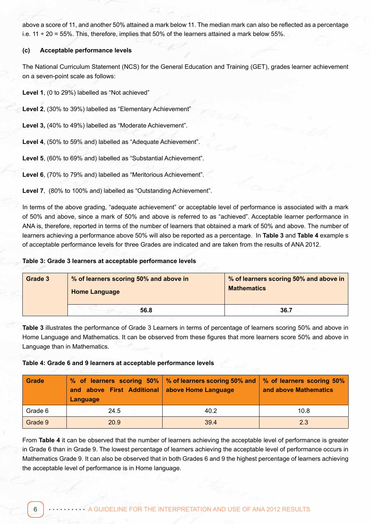above a score of 11, and another 50% attained a mark below 11. The median mark can also be reflected as a percentage i.e.  $11 \div 20 = 55\%$ . This, therefore, implies that 50% of the learners attained a mark below 55%.

#### **(c) Acceptable performance levels**

The National Curriculum Statement (NCS) for the General Education and Training (GET), grades learner achievement on a seven-point scale as follows:

**Level 1**, (0 to 29%) labelled as "Not achieved"

**Level 2**, (30% to 39%) labelled as "Elementary Achievement"

**Level 3,** (40% to 49%) labelled as "Moderate Achievement".

**Level 4**, (50% to 59% and) labelled as "Adequate Achievement".

**Level 5**, (60% to 69% and) labelled as "Substantial Achievement".

**Level 6**, (70% to 79% and) labelled as "Meritorious Achievement".

**Level 7**, (80% to 100% and) labelled as "Outstanding Achievement".

In terms of the above grading, "adequate achievement" or acceptable level of performance is associated with a mark of 50% and above, since a mark of 50% and above is referred to as "achieved". Acceptable learner performance in ANA is, therefore, reported in terms of the number of learners that obtained a mark of 50% and above. The number of learners achieving a performance above 50% will also be reported as a percentage. In **Table 3** and **Table 4** example s of acceptable performance levels for three Grades are indicated and are taken from the results of ANA 2012.

**Table 3: Grade 3 learners at acceptable performance levels**

| Grade 3 | % of learners scoring 50% and above in<br><b>Home Language</b> | % of learners scoring 50% and above in<br><b>Mathematics</b> |  |  |
|---------|----------------------------------------------------------------|--------------------------------------------------------------|--|--|
|         | 56.8                                                           | 36.7                                                         |  |  |

**Table 3** illustrates the performance of Grade 3 Learners in terms of percentage of learners scoring 50% and above in Home Language and Mathematics. It can be observed from these figures that more learners score 50% and above in Language than in Mathematics.

**Table 4: Grade 6 and 9 learners at acceptable performance levels**

| Grade   | and above First Additional above Home Language<br>Language | % of learners scoring 50%   % of learners scoring 50% and   % of learners scoring 50% | and above Mathematics |
|---------|------------------------------------------------------------|---------------------------------------------------------------------------------------|-----------------------|
| Grade 6 | 24.5                                                       | 40.2                                                                                  | 10.8                  |
| Grade 9 | 20.9                                                       | 39.4                                                                                  | 2.3                   |

From **Table 4** it can be observed that the number of learners achieving the acceptable level of performance is greater in Grade 6 than in Grade 9. The lowest percentage of learners achieving the acceptable level of performance occurs in Mathematics Grade 9. It can also be observed that in both Grades 6 and 9 the highest percentage of learners achieving the acceptable level of performance is in Home language.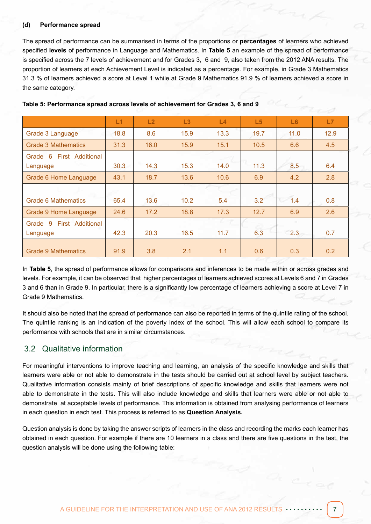#### **(d) Performance spread**

The spread of performance can be summarised in terms of the proportions or **percentages** of learners who achieved specified **levels** of performance in Language and Mathematics. In **Table 5** an example of the spread of performance is specified across the 7 levels of achievement and for Grades 3, 6 and 9, also taken from the 2012 ANA results. The proportion of learners at each Achievement Level is indicated as a percentage. For example, in Grade 3 Mathematics 31.3 % of learners achieved a score at Level 1 while at Grade 9 Mathematics 91.9 % of learners achieved a score in the same category.

|                                | L1   | L2   | L3   | L4   | L5   | L6   | L7   |
|--------------------------------|------|------|------|------|------|------|------|
| Grade 3 Language               | 18.8 | 8.6  | 15.9 | 13.3 | 19.7 | 11.0 | 12.9 |
| <b>Grade 3 Mathematics</b>     | 31.3 | 16.0 | 15.9 | 15.1 | 10.5 | 6.6  | 4.5  |
| First Additional<br>6<br>Grade |      |      |      |      |      |      |      |
| Language                       | 30.3 | 14.3 | 15.3 | 14.0 | 11.3 | 8.5  | 6.4  |
| <b>Grade 6 Home Language</b>   | 43.1 | 18.7 | 13.6 | 10.6 | 6.9  | 4.2  | 2.8  |
|                                |      |      |      |      |      |      |      |
| Grade 6 Mathematics            | 65.4 | 13.6 | 10.2 | 5.4  | 3.2  | 1.4  | 0.8  |
| <b>Grade 9 Home Language</b>   | 24.6 | 17.2 | 18.8 | 17.3 | 12.7 | 6.9  | 2.6  |
| 9<br>First Additional<br>Grade |      |      |      |      |      |      |      |
| Language                       | 42.3 | 20.3 | 16.5 | 11.7 | 6.3  | 2.3  | 0.7  |
| <b>Grade 9 Mathematics</b>     | 91.9 | 3.8  | 2.1  | 1.1  | 0.6  | 0.3  | 0.2  |

#### **Table 5: Performance spread across levels of achievement for Grades 3, 6 and 9**

In **Table 5**, the spread of performance allows for comparisons and inferences to be made within or across grades and levels. For example, it can be observed that higher percentages of learners achieved scores at Levels 6 and 7 in Grades 3 and 6 than in Grade 9. In particular, there is a significantly low percentage of learners achieving a score at Level 7 in Grade 9 Mathematics.

It should also be noted that the spread of performance can also be reported in terms of the quintile rating of the school. The quintile ranking is an indication of the poverty index of the school. This will allow each school to compare its performance with schools that are in similar circumstances.

#### 3.2 Qualitative information

For meaningful interventions to improve teaching and learning, an analysis of the specific knowledge and skills that learners were able or not able to demonstrate in the tests should be carried out at school level by subject teachers. Qualitative information consists mainly of brief descriptions of specific knowledge and skills that learners were not able to demonstrate in the tests. This will also include knowledge and skills that learners were able or not able to demonstrate at acceptable levels of performance. This information is obtained from analysing performance of learners in each question in each test. This process is referred to as **Question Analysis.**

Question analysis is done by taking the answer scripts of learners in the class and recording the marks each learner has obtained in each question. For example if there are 10 learners in a class and there are five questions in the test, the question analysis will be done using the following table: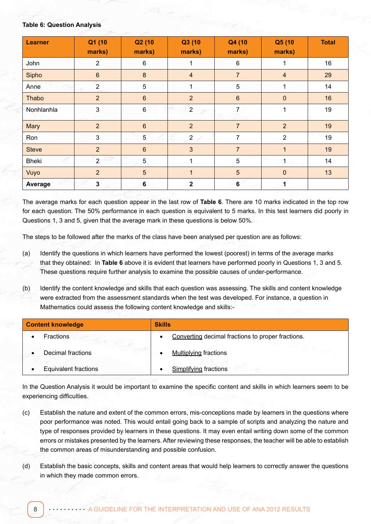#### **Table 6: Question Analysis**

| <b>Learner</b> | Q1 (10<br>marks) | Q2 (10<br>marks) | Q3 (10<br>marks) | Q4 (10<br>marks) | Q5 (10<br>marks) | <b>Total</b> |
|----------------|------------------|------------------|------------------|------------------|------------------|--------------|
| John           | $\overline{2}$   | 6                | 1                | 6                | 1                | 16           |
| Sipho          | $\boldsymbol{6}$ | $\bf 8$          | $\overline{4}$   | $\overline{7}$   | $\overline{4}$   | 29           |
| -22<br>Anne    | $\overline{2}$   | 5                | 1                | 5                |                  | 14           |
| Thabo          | $\overline{2}$   | $6\phantom{a}$   | $\overline{2}$   | $6\phantom{a}$   | $\mathbf 0$      | 16           |
| Nonhlanhla     | 3                | $\,6\,$          | $\overline{2}$   | 7                | $\mathbf{1}$     | 19           |
| Mary           | $\overline{2}$   | $6\phantom{a}$   | $\overline{2}$   | $\overline{7}$   | $\overline{2}$   | 19           |
| Ron            | 3                | 5                | $\overline{2}$   | 7                | $\overline{2}$   | 19           |
| <b>Steve</b>   | $\overline{2}$   | $6\phantom{a}$   | $\mathfrak{3}$   | $\overline{7}$   | $\mathbf{1}$     | 19           |
| <b>Bheki</b>   | $\overline{2}$   | $5\phantom{.0}$  | 1                | 5                |                  | 14           |
| Vuyo           | $\overline{2}$   | $5\overline{)}$  | $\mathbf{1}$     | 5                | $\mathbf{0}$     | 13           |
| Average        | $\mathbf 3$      | $\bf 6$          | $\mathbf 2$      | 6                | 1                |              |

The average marks for each question appear in the last row of **Table 6**. There are 10 marks indicated in the top row for each question. The 50% performance in each question is equivalent to 5 marks. In this test learners did poorly in Questions 1, 3 and 5, given that the average mark in these questions is below 50%.

The steps to be followed after the marks of the class have been analysed per question are as follows:

- (a) Identify the questions in which learners have performed the lowest (poorest) in terms of the average marks that they obtained: In **Table 6** above it is evident that learners have performed poorly in Questions 1, 3 and 5. These questions require further analysis to examine the possible causes of under-performance.
- (b) Identify the content knowledge and skills that each question was assessing. The skills and content knowledge were extracted from the assessment standards when the test was developed. For instance, a question in Mathematics could assess the following content knowledge and skills:-

| <b>Content knowledge</b>    | <b>Skills</b>                                     |  |  |  |
|-----------------------------|---------------------------------------------------|--|--|--|
| <b>Fractions</b>            | Converting decimal fractions to proper fractions. |  |  |  |
| Decimal fractions           | <b>Multiplying fractions</b>                      |  |  |  |
| <b>Equivalent fractions</b> | Simplifying fractions                             |  |  |  |

In the Question Analysis it would be important to examine the specific content and skills in which learners seem to be experiencing difficulties.

- (c) Establish the nature and extent of the common errors, mis-conceptions made by learners in the questions where poor performance was noted. This would entail going back to a sample of scripts and analyzing the nature and type of responses provided by learners in these questions. It may even entail writing down some of the common errors or mistakes presented by the learners. After reviewing these responses, the teacher will be able to establish the common areas of misunderstanding and possible confusion.
- (d) Establish the basic concepts, skills and content areas that would help learners to correctly answer the questions in which they made common errors.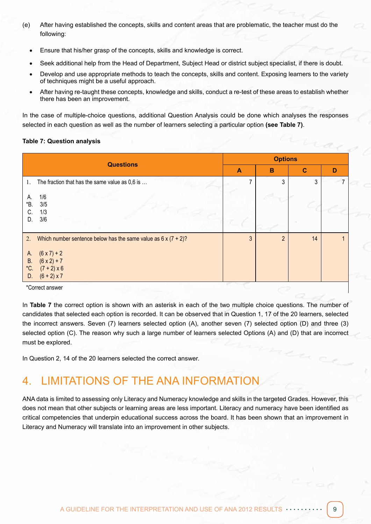- (e) After having established the concepts, skills and content areas that are problematic, the teacher must do the following:
	- Ensure that his/her grasp of the concepts, skills and knowledge is correct.
	- Seek additional help from the Head of Department, Subject Head or district subject specialist, if there is doubt.
	- Develop and use appropriate methods to teach the concepts, skills and content. Exposing learners to the variety of techniques might be a useful approach.
	- After having re-taught these concepts, knowledge and skills, conduct a re-test of these areas to establish whether there has been an improvement.

In the case of multiple-choice questions, additional Question Analysis could be done which analyses the responses selected in each question as well as the number of learners selecting a particular option **(see Table 7)**.

#### **Table 7: Question analysis**

| <b>Questions</b>                                                                                                     |              | <b>Options</b> |    |   |  |  |
|----------------------------------------------------------------------------------------------------------------------|--------------|----------------|----|---|--|--|
|                                                                                                                      | $\mathbf{A}$ | B              | C  | D |  |  |
| The fraction that has the same value as 0,6 is<br>1.                                                                 |              | 3              | 3  |   |  |  |
| 1/6<br>А.<br>3/5<br>*B.<br>1/3<br>C.<br>3/6<br>D.                                                                    |              |                |    |   |  |  |
| 2.<br>Which number sentence below has the same value as $6 \times (7 + 2)$ ?                                         | 3            | $\overline{2}$ | 14 |   |  |  |
| $(6 \times 7) + 2$<br>A.<br>$(6 \times 2) + 7$<br><b>B.</b><br>*C.<br>$(7 + 2) \times 6$<br>$(6 + 2) \times 7$<br>D. |              |                |    |   |  |  |

\*Correct answer

In **Table 7** the correct option is shown with an asterisk in each of the two multiple choice questions. The number of candidates that selected each option is recorded. It can be observed that in Question 1, 17 of the 20 learners, selected the incorrect answers. Seven (7) learners selected option (A), another seven (7) selected option (D) and three (3) selected option (C). The reason why such a large number of learners selected Options (A) and (D) that are incorrect must be explored.

In Question 2, 14 of the 20 learners selected the correct answer.

## 4. LIMITATIONS OF THE ANA INFORMATION

ANA data is limited to assessing only Literacy and Numeracy knowledge and skills in the targeted Grades. However, this does not mean that other subjects or learning areas are less important. Literacy and numeracy have been identified as critical competencies that underpin educational success across the board. It has been shown that an improvement in Literacy and Numeracy will translate into an improvement in other subjects.

ra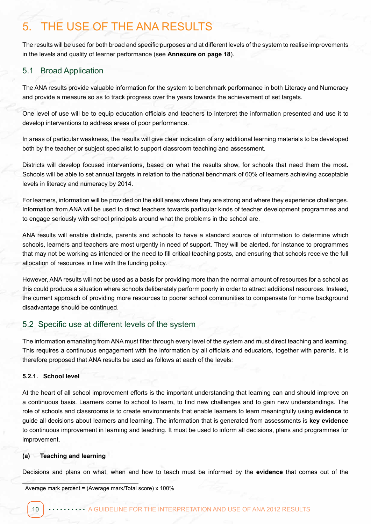## 5. THE USE OF THE ANA RESULTS

The results will be used for both broad and specific purposes and at different levels of the system to realise improvements in the levels and quality of learner performance (see **Annexure on page 18**).

#### 5.1 Broad Application

The ANA results provide valuable information for the system to benchmark performance in both Literacy and Numeracy and provide a measure so as to track progress over the years towards the achievement of set targets.

One level of use will be to equip education officials and teachers to interpret the information presented and use it to develop interventions to address areas of poor performance.

In areas of particular weakness, the results will give clear indication of any additional learning materials to be developed both by the teacher or subject specialist to support classroom teaching and assessment.

Districts will develop focused interventions, based on what the results show, for schools that need them the most**.** Schools will be able to set annual targets in relation to the national benchmark of 60% of learners achieving acceptable levels in literacy and numeracy by 2014.

For learners, information will be provided on the skill areas where they are strong and where they experience challenges. Information from ANA will be used to direct teachers towards particular kinds of teacher development programmes and to engage seriously with school principals around what the problems in the school are.

ANA results will enable districts, parents and schools to have a standard source of information to determine which schools, learners and teachers are most urgently in need of support. They will be alerted, for instance to programmes that may not be working as intended or the need to fill critical teaching posts, and ensuring that schools receive the full allocation of resources in line with the funding policy.

However, ANA results will not be used as a basis for providing more than the normal amount of resources for a school as this could produce a situation where schools deliberately perform poorly in order to attract additional resources. Instead, the current approach of providing more resources to poorer school communities to compensate for home background disadvantage should be continued.

#### 5.2 Specific use at different levels of the system

The information emanating from ANA must filter through every level of the system and must direct teaching and learning. This requires a continuous engagement with the information by all officials and educators, together with parents. It is therefore proposed that ANA results be used as follows at each of the levels:

#### **5.2.1. School level**

At the heart of all school improvement efforts is the important understanding that learning can and should improve on a continuous basis. Learners come to school to learn, to find new challenges and to gain new understandings. The role of schools and classrooms is to create environments that enable learners to learn meaningfully using **evidence** to guide all decisions about learners and learning. The information that is generated from assessments is **key evidence** to continuous improvement in learning and teaching. It must be used to inform all decisions, plans and programmes for improvement.

#### **(a) Teaching and learning**

Decisions and plans on what, when and how to teach must be informed by the **evidence** that comes out of the

Average mark percent = (Average mark/Total score) x 100%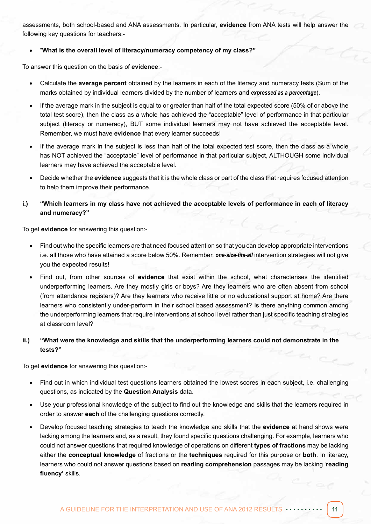assessments, both school-based and ANA assessments. In particular, **evidence** from ANA tests will help answer the following key questions for teachers:-

#### • "**What is the overall level of literacy/numeracy competency of my class?"**

To answer this question on the basis of **evidence**:-

- Calculate the **average percent** obtained by the learners in each of the literacy and numeracy tests (Sum of the marks obtained by individual learners divided by the number of learners and *expressed as a percentage*).
- If the average mark in the subject is equal to or greater than half of the total expected score (50% of or above the total test score), then the class as a whole has achieved the "acceptable" level of performance in that particular subject (literacy or numeracy), BUT some individual learners may not have achieved the acceptable level. Remember, we must have **evidence** that every learner succeeds!
- If the average mark in the subject is less than half of the total expected test score, then the class as a whole has NOT achieved the "acceptable" level of performance in that particular subject, ALTHOUGH some individual learners may have achieved the acceptable level.
- Decide whether the **evidence** suggests that it is the whole class or part of the class that requires focused attention to help them improve their performance.
- **i.) "Which learners in my class have not achieved the acceptable levels of performance in each of literacy and numeracy?"**

To get **evidence** for answering this question:-

- Find out who the specific learners are that need focused attention so that you can develop appropriate interventions i.e. all those who have attained a score below 50%. Remember, *one-size-fits-all* intervention strategies will not give you the expected results!
- Find out, from other sources of **evidence** that exist within the school, what characterises the identified underperforming learners. Are they mostly girls or boys? Are they learners who are often absent from school (from attendance registers)? Are they learners who receive little or no educational support at home? Are there learners who consistently under-perform in their school based assessment? Is there anything common among the underperforming learners that require interventions at school level rather than just specific teaching strategies at classroom level?
- **ii.) "What were the knowledge and skills that the underperforming learners could not demonstrate in the tests?"**

To get **evidence** for answering this question:-

- Find out in which individual test questions learners obtained the lowest scores in each subject, i.e. challenging questions, as indicated by the **Question Analysis** data.
- Use your professional knowledge of the subject to find out the knowledge and skills that the learners required in order to answer **each** of the challenging questions correctly.
- Develop focused teaching strategies to teach the knowledge and skills that the **evidence** at hand shows were lacking among the learners and, as a result, they found specific questions challenging. For example, learners who could not answer questions that required knowledge of operations on different **types of fractions** may be lacking either the **conceptual knowledge** of fractions or the **techniques** required for this purpose or **both**. In literacy, learners who could not answer questions based on **reading comprehension** passages may be lacking '**reading fluency'** skills.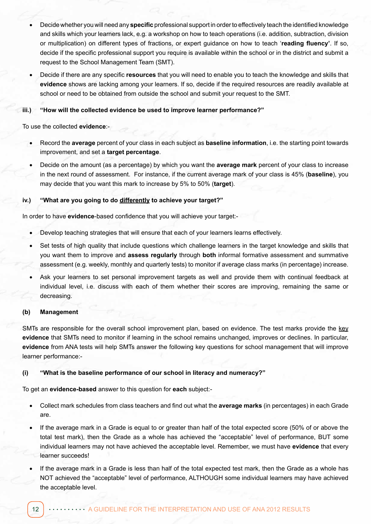- • Decide whether you will need any **specific** professional support in order to effectively teach the identified knowledge and skills which your learners lack, e.g. a workshop on how to teach operations (i.e. addition, subtraction, division or multiplication) on different types of fractions, or expert guidance on how to teach '**reading fluency'**. If so, decide if the specific professional support you require is available within the school or in the district and submit a request to the School Management Team (SMT).
- Decide if there are any specific **resources** that you will need to enable you to teach the knowledge and skills that **evidence** shows are lacking among your learners. If so, decide if the required resources are readily available at school or need to be obtained from outside the school and submit your request to the SMT.

#### **iii.) "How will the collected evidence be used to improve learner performance?"**

To use the collected **evidence**:-

- Record the **average** percent of your class in each subject as **baseline information**, i.e. the starting point towards improvement, and set a **target percentage**.
- Decide on the amount (as a percentage) by which you want the **average mark** percent of your class to increase in the next round of assessment. For instance, if the current average mark of your class is 45% (**baseline**), you may decide that you want this mark to increase by 5% to 50% (**target**).

#### **iv.) "What are you going to do differently to achieve your target?"**

In order to have **evidence**-based confidence that you will achieve your target:-

- Develop teaching strategies that will ensure that each of your learners learns effectively.
- Set tests of high quality that include questions which challenge learners in the target knowledge and skills that you want them to improve and **assess regularly** through **both** informal formative assessment and summative assessment (e.g. weekly, monthly and quarterly tests) to monitor if average class marks (in percentage) increase.
- Ask your learners to set personal improvement targets as well and provide them with continual feedback at individual level, i.e. discuss with each of them whether their scores are improving, remaining the same or decreasing.

#### **(b) Management**

SMTs are responsible for the overall school improvement plan, based on evidence. The test marks provide the key **evidence** that SMTs need to monitor if learning in the school remains unchanged, improves or declines. In particular, **evidence** from ANA tests will help SMTs answer the following key questions for school management that will improve learner performance:-

#### **(i) "What is the baseline performance of our school in literacy and numeracy?"**

To get an **evidence-based** answer to this question for **each** subject:-

- Collect mark schedules from class teachers and find out what the **average marks** (in percentages) in each Grade are.
- If the average mark in a Grade is equal to or greater than half of the total expected score (50% of or above the total test mark), then the Grade as a whole has achieved the "acceptable" level of performance, BUT some individual learners may not have achieved the acceptable level. Remember, we must have **evidence** that every learner succeeds!
- If the average mark in a Grade is less than half of the total expected test mark, then the Grade as a whole has NOT achieved the "acceptable" level of performance, ALTHOUGH some individual learners may have achieved the acceptable level.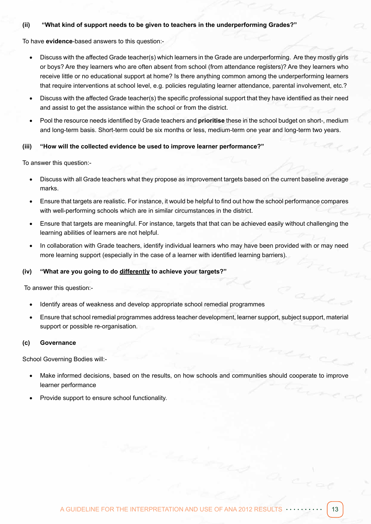#### **(ii) "What kind of support needs to be given to teachers in the underperforming Grades?"**

To have **evidence**-based answers to this question:-

- Discuss with the affected Grade teacher(s) which learners in the Grade are underperforming. Are they mostly girls or boys? Are they learners who are often absent from school (from attendance registers)? Are they learners who receive little or no educational support at home? Is there anything common among the underperforming learners that require interventions at school level, e.g. policies regulating learner attendance, parental involvement, etc.?
- Discuss with the affected Grade teacher(s) the specific professional support that they have identified as their need and assist to get the assistance within the school or from the district.
- Pool the resource needs identified by Grade teachers and **prioritise** these in the school budget on short-, medium and long-term basis. Short-term could be six months or less, medium-term one year and long-term two years.

#### **(iii) "How will the collected evidence be used to improve learner performance?"**

To answer this question:-

- Discuss with all Grade teachers what they propose as improvement targets based on the current baseline average marks.
- Ensure that targets are realistic. For instance, it would be helpful to find out how the school performance compares with well-performing schools which are in similar circumstances in the district.
- Ensure that targets are meaningful. For instance, targets that that can be achieved easily without challenging the learning abilities of learners are not helpful.
- In collaboration with Grade teachers, identify individual learners who may have been provided with or may need more learning support (especially in the case of a learner with identified learning barriers).

#### **(iv) "What are you going to do differently to achieve your targets?"**

To answer this question:-

- Identify areas of weakness and develop appropriate school remedial programmes
- Ensure that school remedial programmes address teacher development, learner support, subject support, material support or possible re-organisation.

#### **(c) Governance**

School Governing Bodies will:-

- Make informed decisions, based on the results, on how schools and communities should cooperate to improve learner performance
- Provide support to ensure school functionality.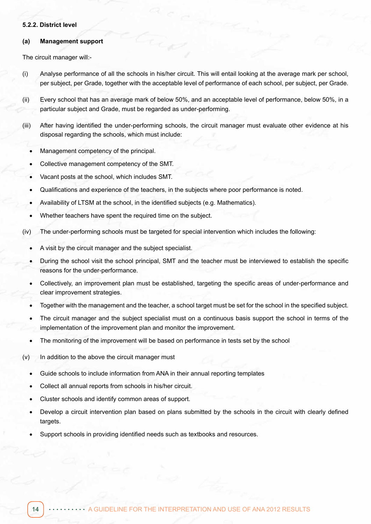#### **5.2.2. District level**

#### **(a) Management support**

The circuit manager will:-

- (i) Analyse performance of all the schools in his/her circuit. This will entail looking at the average mark per school, per subject, per Grade, together with the acceptable level of performance of each school, per subject, per Grade.
- (ii) Every school that has an average mark of below 50%, and an acceptable level of performance, below 50%, in a particular subject and Grade, must be regarded as under-performing.
- (iii) After having identified the under-performing schools, the circuit manager must evaluate other evidence at his disposal regarding the schools, which must include:
	- Management competency of the principal.
	- Collective management competency of the SMT.
	- Vacant posts at the school, which includes SMT.
	- Qualifications and experience of the teachers, in the subjects where poor performance is noted.
	- Availability of LTSM at the school, in the identified subjects (e.g. Mathematics).
	- Whether teachers have spent the required time on the subject.
- (iv) The under-performing schools must be targeted for special intervention which includes the following:
	- A visit by the circuit manager and the subject specialist.
	- During the school visit the school principal, SMT and the teacher must be interviewed to establish the specific reasons for the under-performance.
	- Collectively, an improvement plan must be established, targeting the specific areas of under-performance and clear improvement strategies.
	- Together with the management and the teacher, a school target must be set for the school in the specified subject.
	- The circuit manager and the subject specialist must on a continuous basis support the school in terms of the implementation of the improvement plan and monitor the improvement.
	- The monitoring of the improvement will be based on performance in tests set by the school
- (v) In addition to the above the circuit manager must
	- Guide schools to include information from ANA in their annual reporting templates
	- Collect all annual reports from schools in his/her circuit.
	- Cluster schools and identify common areas of support.
	- Develop a circuit intervention plan based on plans submitted by the schools in the circuit with clearly defined targets.
	- Support schools in providing identified needs such as textbooks and resources.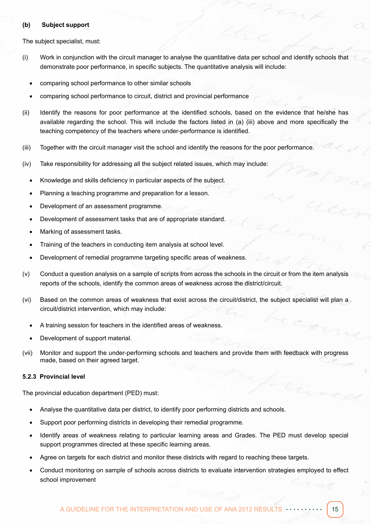#### **(b) Subject support**

The subject specialist, must:

- (i) Work in conjunction with the circuit manager to analyse the quantitative data per school and identify schools that demonstrate poor performance, in specific subjects. The quantitative analysis will include:
	- comparing school performance to other similar schools
	- comparing school performance to circuit, district and provincial performance
- (ii) Identify the reasons for poor performance at the identified schools, based on the evidence that he/she has available regarding the school. This will include the factors listed in (a) (iii) above and more specifically the teaching competency of the teachers where under-performance is identified.
- (iii) Together with the circuit manager visit the school and identify the reasons for the poor performance.
- (iv) Take responsibility for addressing all the subject related issues, which may include:
	- Knowledge and skills deficiency in particular aspects of the subject.
	- Planning a teaching programme and preparation for a lesson.
	- Development of an assessment programme.
	- Development of assessment tasks that are of appropriate standard.
	- Marking of assessment tasks.
	- Training of the teachers in conducting item analysis at school level.
	- Development of remedial programme targeting specific areas of weakness.
- (v) Conduct a question analysis on a sample of scripts from across the schools in the circuit or from the item analysis reports of the schools, identify the common areas of weakness across the district/circuit.
- (vi) Based on the common areas of weakness that exist across the circuit/district, the subject specialist will plan a circuit/district intervention, which may include:
	- A training session for teachers in the identified areas of weakness.
	- Development of support material.
- (vii) Monitor and support the under-performing schools and teachers and provide them with feedback with progress made, based on their agreed target.

#### **5.2.3 Provincial level**

The provincial education department (PED) must:

- Analyse the quantitative data per district, to identify poor performing districts and schools.
- Support poor performing districts in developing their remedial programme.
- Identify areas of weakness relating to particular learning areas and Grades. The PED must develop special support programmes directed at these specific learning areas.
- Agree on targets for each district and monitor these districts with regard to reaching these targets.
- Conduct monitoring on sample of schools across districts to evaluate intervention strategies employed to effect school improvement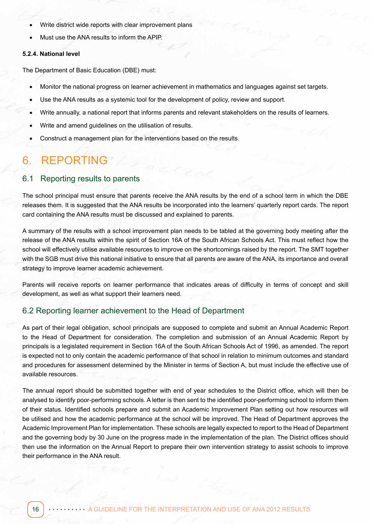- Write district wide reports with clear improvement plans
- Must use the ANA results to inform the APIP.

#### **5.2.4. National level**

The Department of Basic Education (DBE) must:

- Monitor the national progress on learner achievement in mathematics and languages against set targets.
- Use the ANA results as a systemic tool for the development of policy, review and support.
- Write annually, a national report that informs parents and relevant stakeholders on the results of learners.
- Write and amend guidelines on the utilisation of results.
- Construct a management plan for the interventions based on the results.

## 6. REPORTING

#### 6.1 Reporting results to parents

The school principal must ensure that parents receive the ANA results by the end of a school term in which the DBE releases them. It is suggested that the ANA results be incorporated into the learners' quarterly report cards. The report card containing the ANA results must be discussed and explained to parents.

A summary of the results with a school improvement plan needs to be tabled at the governing body meeting after the release of the ANA results within the spirit of Section 16A of the South African Schools Act. This must reflect how the school will effectively utilise available resources to improve on the shortcomings raised by the report. The SMT together with the SGB must drive this national initiative to ensure that all parents are aware of the ANA, its importance and overall strategy to improve learner academic achievement.

Parents will receive reports on learner performance that indicates areas of difficulty in terms of concept and skill development, as well as what support their learners need.

#### 6.2 Reporting learner achievement to the Head of Department

As part of their legal obligation, school principals are supposed to complete and submit an Annual Academic Report to the Head of Department for consideration. The completion and submission of an Annual Academic Report by principals is a legislated requirement in Section 16A of the South African Schools Act of 1996, as amended. The report is expected not to only contain the academic performance of that school in relation to minimum outcomes and standard and procedures for assessment determined by the Minister in terms of Section A, but must include the effective use of available resources.

The annual report should be submitted together with end of year schedules to the District office, which will then be analysed to identify poor-performing schools. A letter is then sent to the identified poor-performing school to inform them of their status. Identified schools prepare and submit an Academic Improvement Plan setting out how resources will be utilised and how the academic performance at the school will be improved. The Head of Department approves the Academic Improvement Plan for implementation. These schools are legally expected to report to the Head of Department and the governing body by 30 June on the progress made in the implementation of the plan. The District offices should then use the information on the Annual Report to prepare their own intervention strategy to assist schools to improve their performance in the ANA result.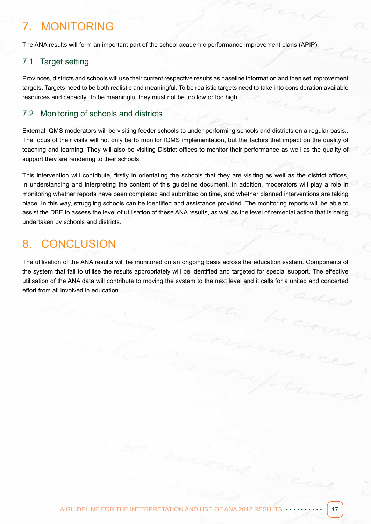## 7. MONITORING

The ANA results will form an important part of the school academic performance improvement plans (APIP).

#### 7.1 Target setting

Provinces, districts and schools will use their current respective results as baseline information and then set improvement targets. Targets need to be both realistic and meaningful. To be realistic targets need to take into consideration available resources and capacity. To be meaningful they must not be too low or too high.

#### 7.2 Monitoring of schools and districts

External IQMS moderators will be visiting feeder schools to under-performing schools and districts on a regular basis.. The focus of their visits will not only be to monitor IQMS implementation, but the factors that impact on the quality of teaching and learning. They will also be visiting District offices to monitor their performance as well as the quality of support they are rendering to their schools.

This intervention will contribute, firstly in orientating the schools that they are visiting as well as the district offices, in understanding and interpreting the content of this guideline document. In addition, moderators will play a role in monitoring whether reports have been completed and submitted on time, and whether planned interventions are taking place. In this way, struggling schools can be identified and assistance provided. The monitoring reports will be able to assist the DBE to assess the level of utilisation of these ANA results, as well as the level of remedial action that is being undertaken by schools and districts.

## 8. CONCLUSION

The utilisation of the ANA results will be monitored on an ongoing basis across the education system. Components of the system that fail to utilise the results appropriately will be identified and targeted for special support. The effective utilisation of the ANA data will contribute to moving the system to the next level and it calls for a united and concerted effort from all involved in education.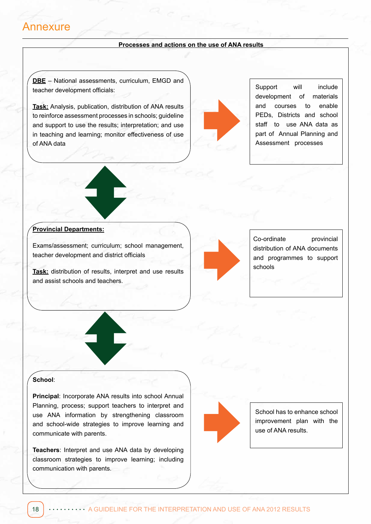### Annexure

#### **Processes and actions on the use of ANA results**

**DBE** – National assessments, curriculum, EMGD and teacher development officials:

**Task:** Analysis, publication, distribution of ANA results to reinforce assessment processes in schools; guideline and support to use the results; interpretation; and use in teaching and learning; monitor effectiveness of use of ANA data



Support will include development of materials and courses to enable PEDs, Districts and school staff to use ANA data as part of Annual Planning and Assessment processes

#### **Provincial Departments:**

Exams/assessment; curriculum; school management, teacher development and district officials

**Task:** distribution of results, interpret and use results and assist schools and teachers.



Co-ordinate provincial distribution of ANA documents and programmes to support schools

#### **School**:

**Principal**: Incorporate ANA results into school Annual Planning, process; support teachers to interpret and use ANA information by strengthening classroom and school-wide strategies to improve learning and communicate with parents.

**Teachers**: Interpret and use ANA data by developing classroom strategies to improve learning; including communication with parents.



School has to enhance school improvement plan with the use of ANA results.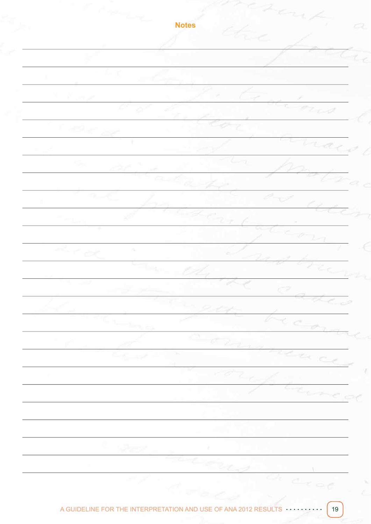**Notes**₹  $\subset$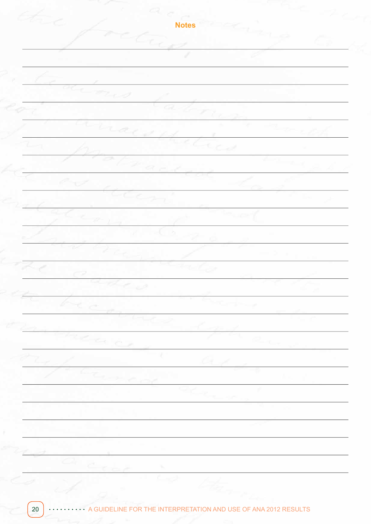**Notes**Z <u>a et e</u>  $\overline{C_{\alpha,\beta}}$  $\overleftrightarrow{c_{\mathbf{Z},\mathbf{y},\mathbf{y}}}$